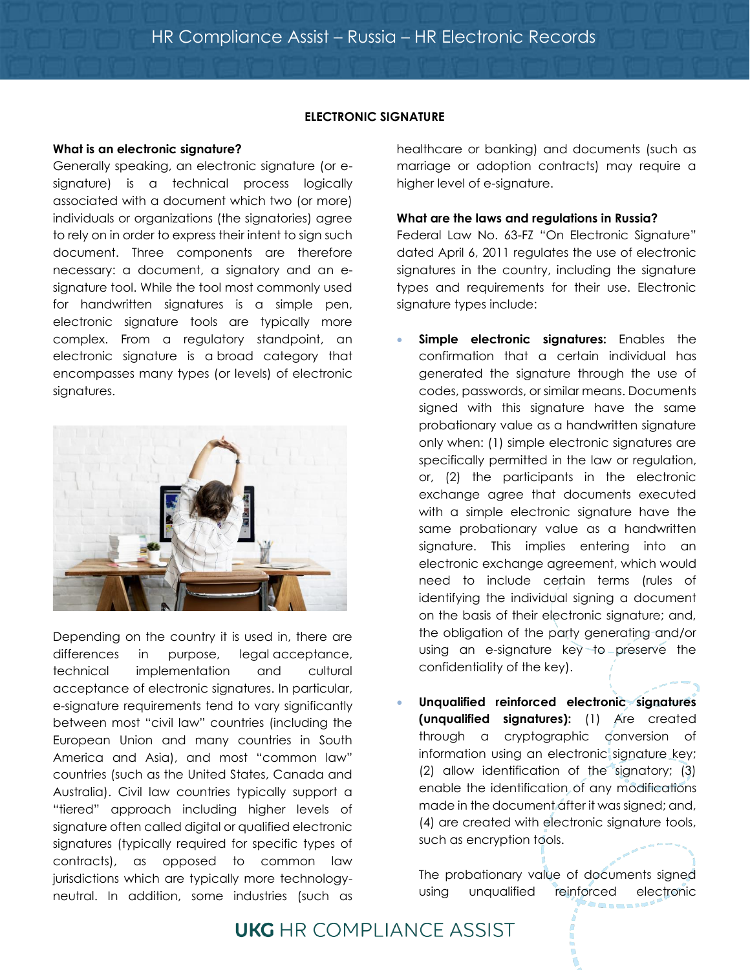## **ELECTRONIC SIGNATURE**

## **What is an electronic signature?**

Generally speaking, an electronic signature (or esignature) is a technical process logically associated with a document which two (or more) individuals or organizations (the signatories) agree to rely on in order to express their intent to sign such document. Three components are therefore necessary: a document, a signatory and an esignature tool. While the tool most commonly used for handwritten signatures is a simple pen, electronic signature tools are typically more complex. From a regulatory standpoint, an electronic signature is a broad category that encompasses many types (or levels) of electronic signatures.



Depending on the country it is used in, there are differences in purpose, legal acceptance, technical implementation and cultural acceptance of electronic signatures. In particular, e-signature requirements tend to vary significantly between most "civil law" countries (including the European Union and many countries in South America and Asia), and most "common law" countries (such as the United States, Canada and Australia). Civil law countries typically support a "tiered" approach including higher levels of signature often called digital or qualified electronic signatures (typically required for specific types of contracts), as opposed to common law jurisdictions which are typically more technologyneutral. In addition, some industries (such as

healthcare or banking) and documents (such as marriage or adoption contracts) may require a higher level of e-signature.

#### **What are the laws and regulations in Russia?**

Federal Law No. 63-FZ "On Electronic Signature" dated April 6, 2011 regulates the use of electronic signatures in the country, including the signature types and requirements for their use. Electronic signature types include:

- **Simple electronic signatures:** Enables the confirmation that a certain individual has generated the signature through the use of codes, passwords, or similar means. Documents signed with this signature have the same probationary value as a handwritten signature only when: (1) simple electronic signatures are specifically permitted in the law or regulation, or, (2) the participants in the electronic exchange agree that documents executed with a simple electronic signature have the same probationary value as a handwritten signature. This implies entering into an electronic exchange agreement, which would need to include certain terms (rules of identifying the individual signing a document on the basis of their electronic signature; and, the obligation of the party generating and/or using an e-signature key to preserve the confidentiality of the key).
- **Unqualified reinforced electronic signatures (unqualified signatures):** (1) Are created through a cryptographic conversion of information using an electronic signature key; (2) allow identification of the signatory; (3) enable the identification of any modifications made in the document after it was signed; and, (4) are created with electronic signature tools, such as encryption tools.

The probationary value of documents signed using unqualified reinforced electronic

# **UKG** HR COMPLIANCE ASSIST